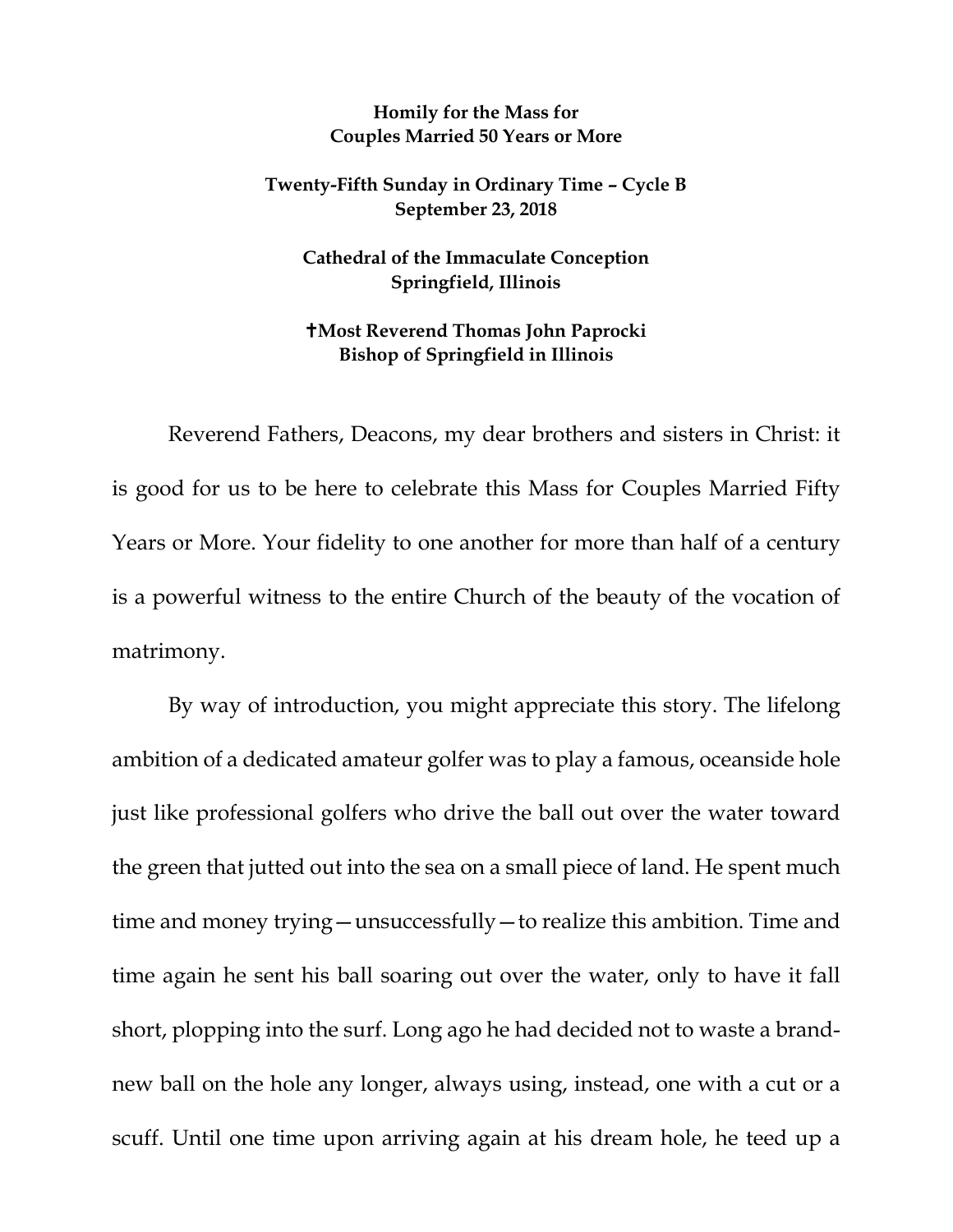## **Homily for the Mass for Couples Married 50 Years or More**

## **Twenty-Fifth Sunday in Ordinary Time – Cycle B September 23, 2018**

**Cathedral of the Immaculate Conception Springfield, Illinois**

## **Most Reverend Thomas John Paprocki Bishop of Springfield in Illinois**

Reverend Fathers, Deacons, my dear brothers and sisters in Christ: it is good for us to be here to celebrate this Mass for Couples Married Fifty Years or More. Your fidelity to one another for more than half of a century is a powerful witness to the entire Church of the beauty of the vocation of matrimony.

By way of introduction, you might appreciate this story. The lifelong ambition of a dedicated amateur golfer was to play a famous, oceanside hole just like professional golfers who drive the ball out over the water toward the green that jutted out into the sea on a small piece of land. He spent much time and money trying—unsuccessfully—to realize this ambition. Time and time again he sent his ball soaring out over the water, only to have it fall short, plopping into the surf. Long ago he had decided not to waste a brandnew ball on the hole any longer, always using, instead, one with a cut or a scuff. Until one time upon arriving again at his dream hole, he teed up a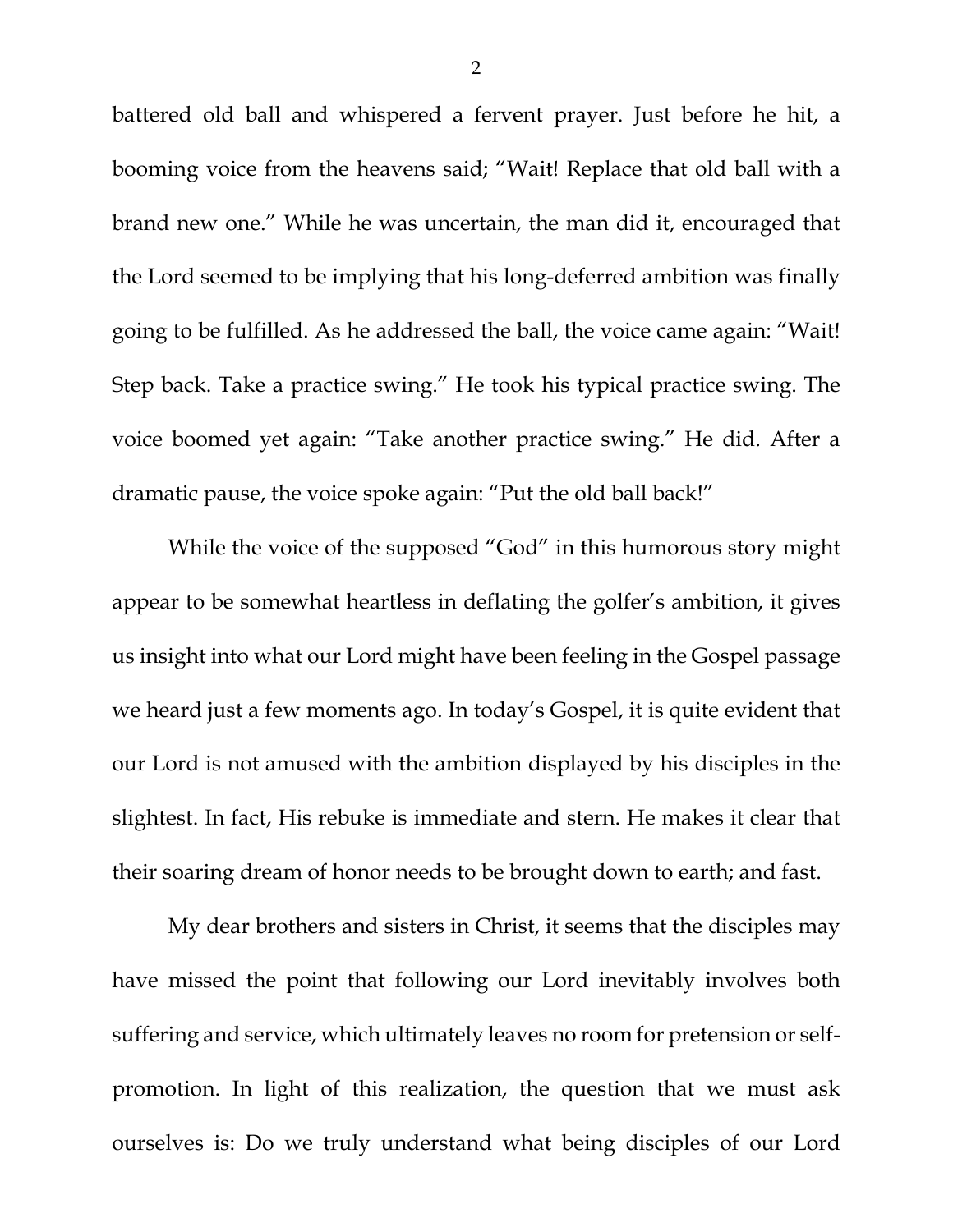battered old ball and whispered a fervent prayer. Just before he hit, a booming voice from the heavens said; "Wait! Replace that old ball with a brand new one." While he was uncertain, the man did it, encouraged that the Lord seemed to be implying that his long-deferred ambition was finally going to be fulfilled. As he addressed the ball, the voice came again: "Wait! Step back. Take a practice swing." He took his typical practice swing. The voice boomed yet again: "Take another practice swing." He did. After a dramatic pause, the voice spoke again: "Put the old ball back!"

While the voice of the supposed "God" in this humorous story might appear to be somewhat heartless in deflating the golfer's ambition, it gives us insight into what our Lord might have been feeling in the Gospel passage we heard just a few moments ago. In today's Gospel, it is quite evident that our Lord is not amused with the ambition displayed by his disciples in the slightest. In fact, His rebuke is immediate and stern. He makes it clear that their soaring dream of honor needs to be brought down to earth; and fast.

My dear brothers and sisters in Christ, it seems that the disciples may have missed the point that following our Lord inevitably involves both suffering and service, which ultimately leaves no room for pretension or selfpromotion. In light of this realization, the question that we must ask ourselves is: Do we truly understand what being disciples of our Lord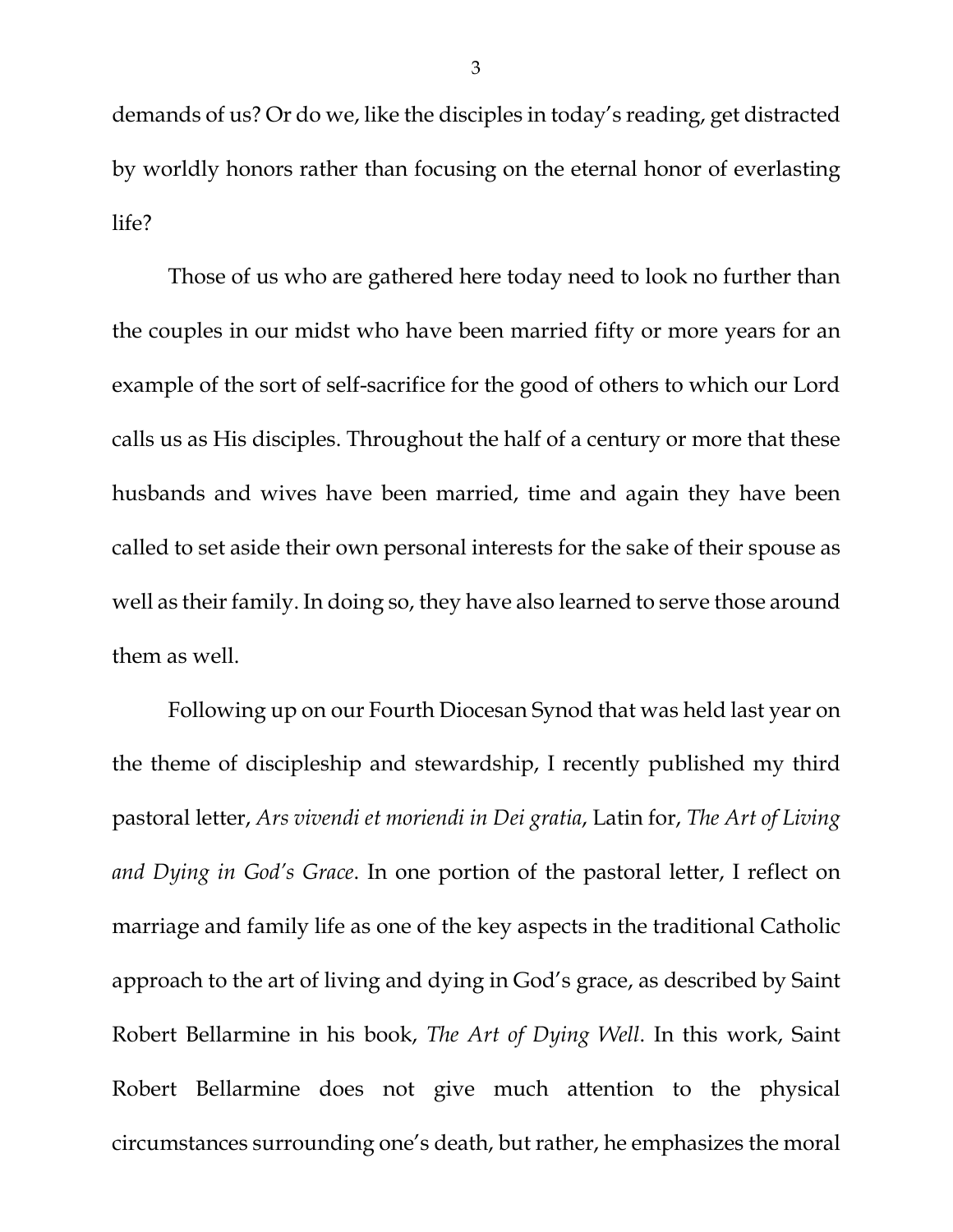demands of us? Or do we, like the disciples in today's reading, get distracted by worldly honors rather than focusing on the eternal honor of everlasting life?

Those of us who are gathered here today need to look no further than the couples in our midst who have been married fifty or more years for an example of the sort of self-sacrifice for the good of others to which our Lord calls us as His disciples. Throughout the half of a century or more that these husbands and wives have been married, time and again they have been called to set aside their own personal interests for the sake of their spouse as well as their family. In doing so, they have also learned to serve those around them as well.

Following up on our Fourth Diocesan Synod that was held last year on the theme of discipleship and stewardship, I recently published my third pastoral letter, *Ars vivendi et moriendi in Dei gratia*, Latin for, *The Art of Living and Dying in God's Grace*. In one portion of the pastoral letter, I reflect on marriage and family life as one of the key aspects in the traditional Catholic approach to the art of living and dying in God's grace, as described by Saint Robert Bellarmine in his book, *The Art of Dying Well*. In this work, Saint Robert Bellarmine does not give much attention to the physical circumstances surrounding one's death, but rather, he emphasizes the moral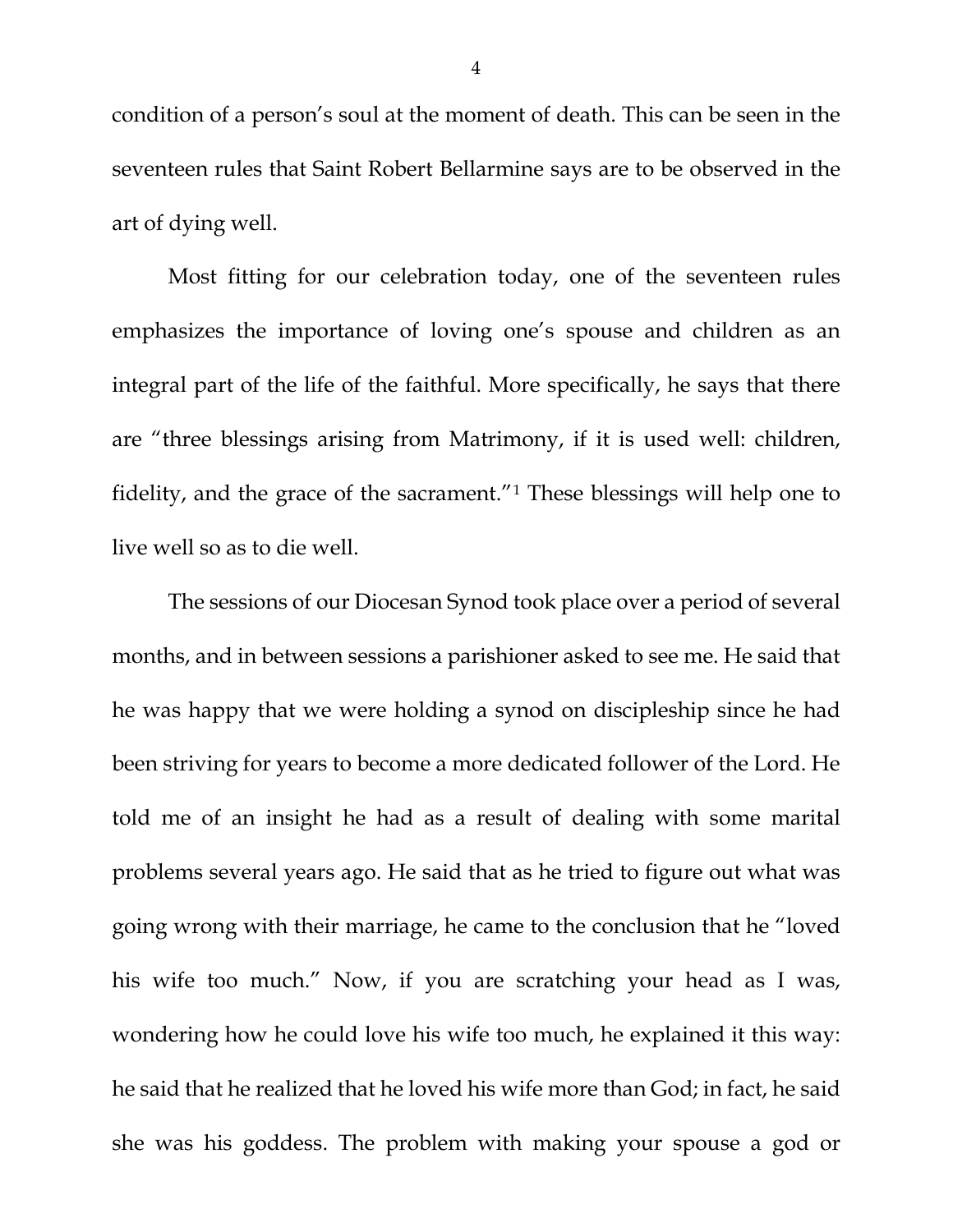condition of a person's soul at the moment of death. This can be seen in the seventeen rules that Saint Robert Bellarmine says are to be observed in the art of dying well.

Most fitting for our celebration today, one of the seventeen rules emphasizes the importance of loving one's spouse and children as an integral part of the life of the faithful. More specifically, he says that there are "three blessings arising from Matrimony, if it is used well: children, fidelity, and the grace of the sacrament."[1](#page-4-0) These blessings will help one to live well so as to die well.

The sessions of our Diocesan Synod took place over a period of several months, and in between sessions a parishioner asked to see me. He said that he was happy that we were holding a synod on discipleship since he had been striving for years to become a more dedicated follower of the Lord. He told me of an insight he had as a result of dealing with some marital problems several years ago. He said that as he tried to figure out what was going wrong with their marriage, he came to the conclusion that he "loved his wife too much." Now, if you are scratching your head as I was, wondering how he could love his wife too much, he explained it this way: he said that he realized that he loved his wife more than God; in fact, he said she was his goddess. The problem with making your spouse a god or

4